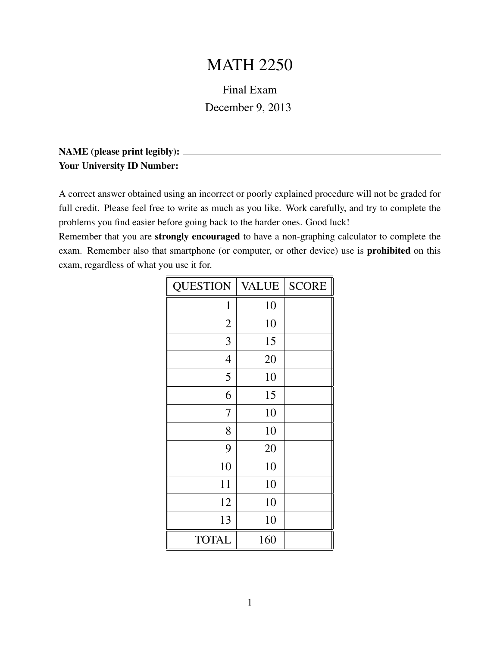## MATH 2250

## Final Exam

December 9, 2013

| <b>NAME</b> (please print legibly): |  |
|-------------------------------------|--|
| <b>Your University ID Number:</b>   |  |

A correct answer obtained using an incorrect or poorly explained procedure will not be graded for full credit. Please feel free to write as much as you like. Work carefully, and try to complete the problems you find easier before going back to the harder ones. Good luck!

Remember that you are strongly encouraged to have a non-graphing calculator to complete the exam. Remember also that smartphone (or computer, or other device) use is prohibited on this exam, regardless of what you use it for.

| <b>QUESTION</b> | <b>VALUE</b> | <b>SCORE</b> |
|-----------------|--------------|--------------|
| $\mathbf 1$     | 10           |              |
| $\mathbf{2}$    | 10           |              |
| 3               | 15           |              |
| $\overline{4}$  | 20           |              |
| 5               | 10           |              |
| 6               | 15           |              |
| 7               | 10           |              |
| 8               | 10           |              |
| 9               | 20           |              |
| 10              | 10           |              |
| 11              | 10           |              |
| 12              | 10           |              |
| 13              | 10           |              |
| <b>TOTAL</b>    | 160          |              |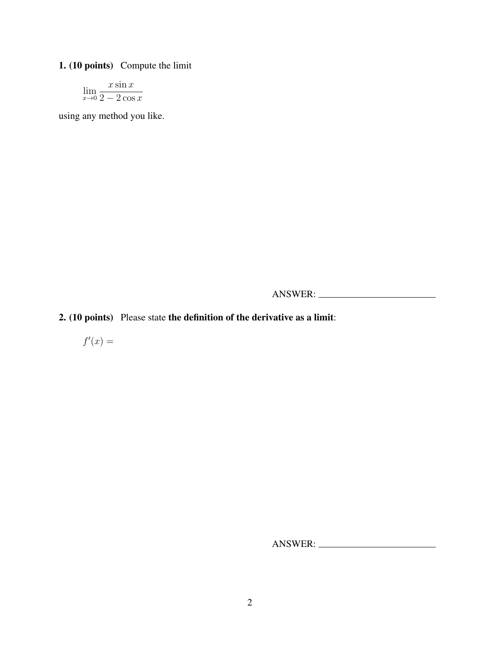## 1. (10 points) Compute the limit

$$
\lim_{x \to 0} \frac{x \sin x}{2 - 2 \cos x}
$$

using any method you like.

ANSWER:

2. (10 points) Please state the definition of the derivative as a limit:

 $f'(x) =$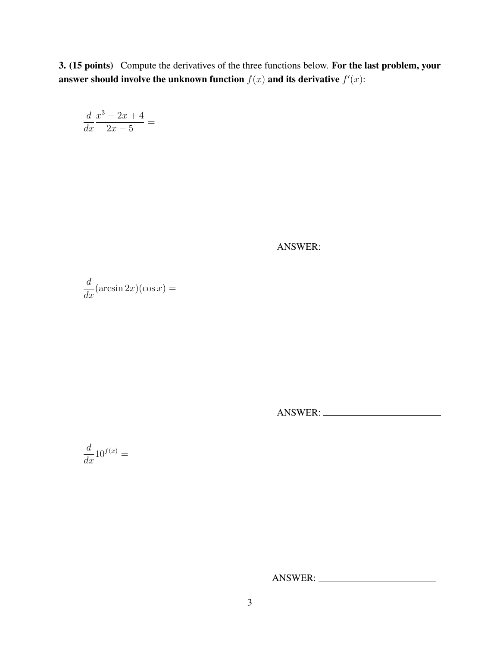3. (15 points) Compute the derivatives of the three functions below. For the last problem, your answer should involve the unknown function  $f(x)$  and its derivative  $f'(x)$ :

$$
\frac{d}{dx}\frac{x^3-2x+4}{2x-5} =
$$

ANSWER:

$$
\frac{d}{dx}(\arcsin 2x)(\cos x) =
$$

ANSWER:

 $\frac{d}{dx}10^{f(x)} =$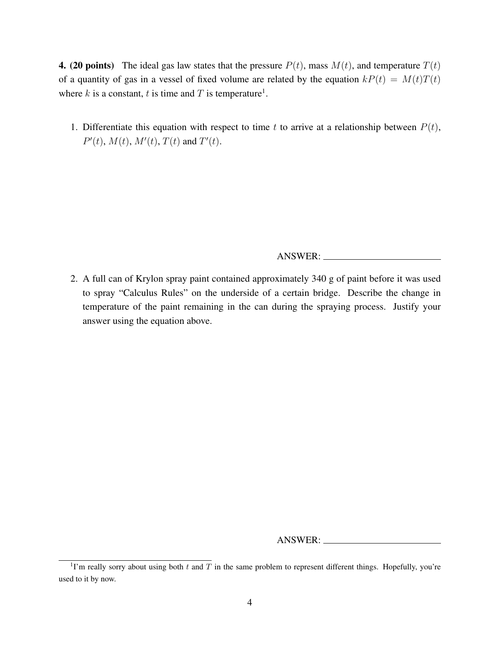**4. (20 points)** The ideal gas law states that the pressure  $P(t)$ , mass  $M(t)$ , and temperature  $T(t)$ of a quantity of gas in a vessel of fixed volume are related by the equation  $kP(t) = M(t)T(t)$ where k is a constant, t is time and T is temperature<sup>1</sup>.

1. Differentiate this equation with respect to time t to arrive at a relationship between  $P(t)$ ,  $P'(t)$ ,  $M(t)$ ,  $M'(t)$ ,  $T(t)$  and  $T'(t)$ .

ANSWER:

2. A full can of Krylon spray paint contained approximately 340 g of paint before it was used to spray "Calculus Rules" on the underside of a certain bridge. Describe the change in temperature of the paint remaining in the can during the spraying process. Justify your answer using the equation above.

<sup>&</sup>lt;sup>1</sup>I'm really sorry about using both t and T in the same problem to represent different things. Hopefully, you're used to it by now.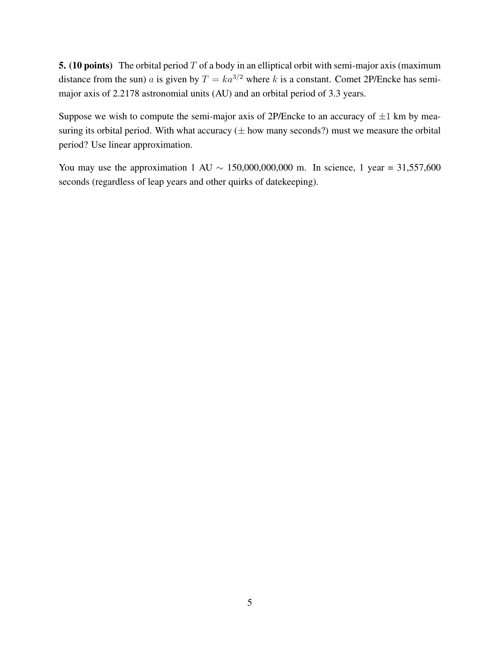5. (10 points) The orbital period  $T$  of a body in an elliptical orbit with semi-major axis (maximum distance from the sun) a is given by  $T = ka^{3/2}$  where k is a constant. Comet 2P/Encke has semimajor axis of 2.2178 astronomial units (AU) and an orbital period of 3.3 years.

Suppose we wish to compute the semi-major axis of 2P/Encke to an accuracy of  $\pm 1$  km by measuring its orbital period. With what accuracy  $(\pm$  how many seconds?) must we measure the orbital period? Use linear approximation.

You may use the approximation 1 AU  $\sim$  150,000,000,000 m. In science, 1 year = 31,557,600 seconds (regardless of leap years and other quirks of datekeeping).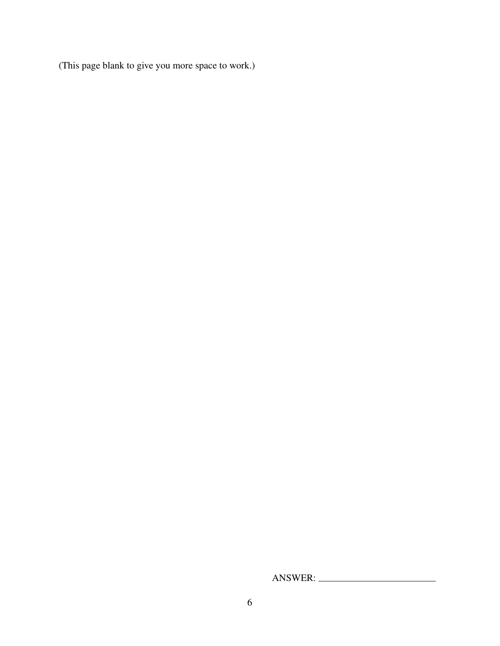(This page blank to give you more space to work.)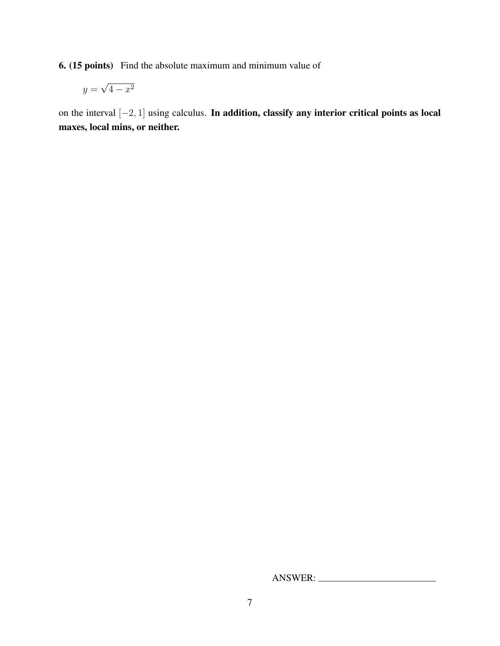6. (15 points) Find the absolute maximum and minimum value of

$$
y = \sqrt{4 - x^2}
$$

on the interval [−2, 1] using calculus. In addition, classify any interior critical points as local maxes, local mins, or neither.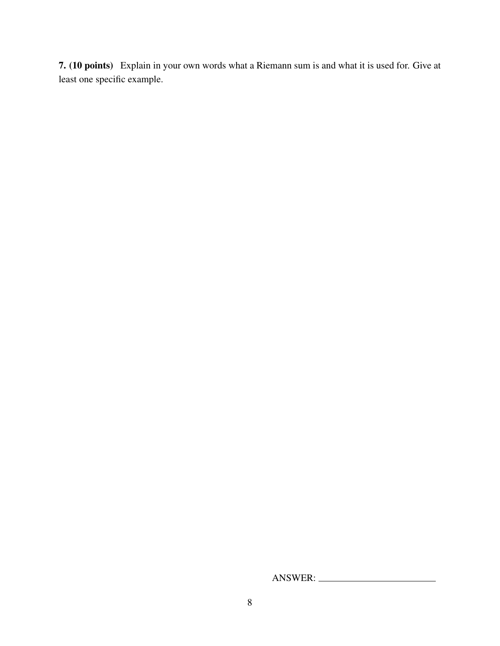7. (10 points) Explain in your own words what a Riemann sum is and what it is used for. Give at least one specific example.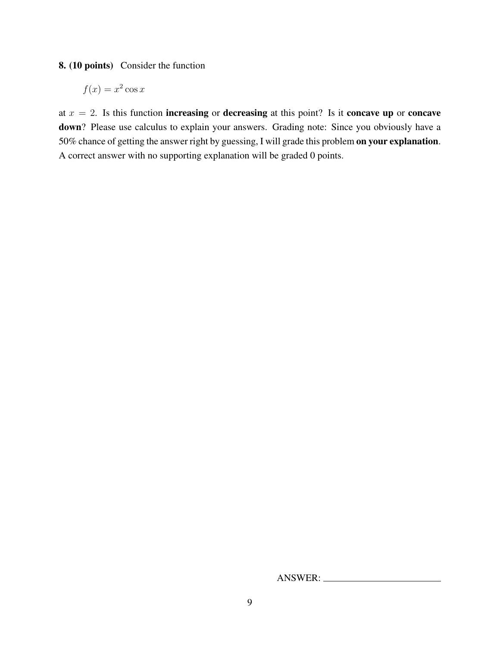8. (10 points) Consider the function

$$
f(x) = x^2 \cos x
$$

at  $x = 2$ . Is this function **increasing** or **decreasing** at this point? Is it **concave up** or **concave** down? Please use calculus to explain your answers. Grading note: Since you obviously have a 50% chance of getting the answer right by guessing, I will grade this problem on your explanation. A correct answer with no supporting explanation will be graded 0 points.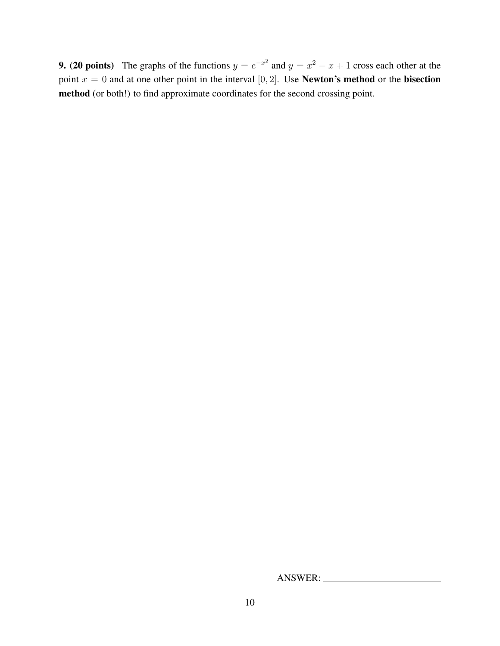**9.** (20 points) The graphs of the functions  $y = e^{-x^2}$  and  $y = x^2 - x + 1$  cross each other at the point  $x = 0$  and at one other point in the interval [0, 2]. Use **Newton's method** or the **bisection** method (or both!) to find approximate coordinates for the second crossing point.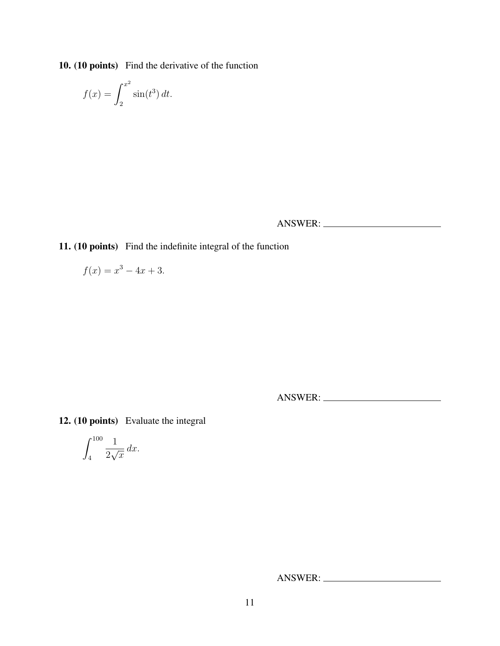10. (10 points) Find the derivative of the function

$$
f(x) = \int_2^{x^2} \sin(t^3) dt.
$$

ANSWER:

11. (10 points) Find the indefinite integral of the function

$$
f(x) = x^3 - 4x + 3.
$$

ANSWER:

12. (10 points) Evaluate the integral

$$
\int_{4}^{100} \frac{1}{2\sqrt{x}} dx.
$$